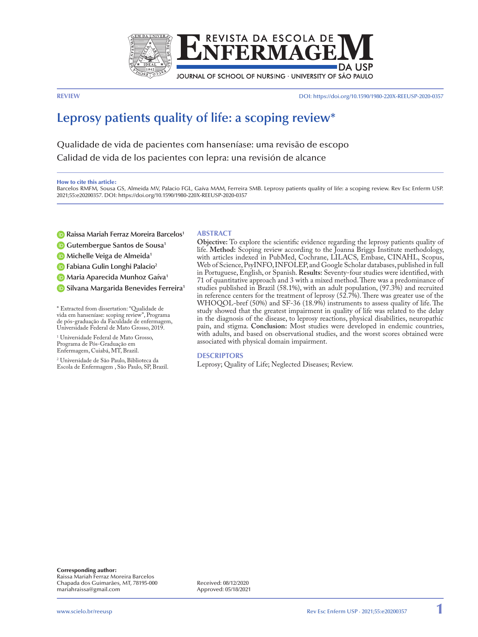

**REVIEW** DOI:<https://doi.org/10.1590/1980-220X-REEUSP-2020-0357>

# **Leprosy patients quality of life: a scoping review\***

Qualidade de vida de pacientes com hanseníase: uma revisão de escopo Calidad de vida de los pacientes con lepra: una revisión de alcance

#### How to cite this article:

Barcelos RMFM, Sousa GS, Almeida MV, Palacio FGL, Gaíva MAM, Ferreira SMB. Leprosy patients quality of life: a scoping review. Rev Esc Enferm USP. 2021;55:e20200357. DOI: https://doi.org/10.1590/1980-220X-REEUSP-2020-0357

- **[R](https://orcid.org/0000-0003-4892-9567)aissa Mariah Ferraz Moreira Barcelos<sup>1</sup>**
- **[G](https://orcid.org/0000-0003-3672-4388)G**utembergue Santos de Sousa<sup>1</sup>

**ID** [M](https://orcid.org/0000-0003-1372-7383)ichelle Veiga de Almeida<sup>1</sup>

**[F](https://orcid.org/0000-0001-6987-7271)abiana Gulin Longhi Palacio**<sup>2</sup>

**[M](http://orcid.org/0000-0002-8666-9738)aria Aparecida Munhoz Gaíva**<sup>1</sup>

**<b>i**D [S](http://orcid.org/0000-0001-7421-5803)ilvana Margarida Benevides Ferreira<sup>1</sup>

\* Extracted from dissertation: "Qualidade de vida em hanseníase: scoping review", Programa de pós-graduação da Faculdade de enfermagem, Universidade Federal de Mato Grosso, 2019.

1 Universidade Federal de Mato Grosso, Programa de Pós-Graduação em Enfermagem, Cuiabá, MT, Brazil.

2 Universidade de São Paulo, Biblioteca da Escola de Enfermagem , São Paulo, SP, Brazil.

#### **ABSTRACT**

**Objective:** To explore the scientific evidence regarding the leprosy patients quality of life. **Method:** Scoping review according to the Joanna Briggs Institute methodology, with articles indexed in PubMed, Cochrane, LILACS, Embase, CINAHL, Scopus, Web of Science, PsyINFO, INFOLEP, and Google Scholar databases, published in full in Portuguese, English, or Spanish. **Results:** Seventy-four studies were identified, with 71 of quantitative approach and 3 with a mixed method. There was a predominance of studies published in Brazil (58.1%), with an adult population, (97.3%) and recruited in reference centers for the treatment of leprosy (52.7%). There was greater use of the WHOQOL-bref (50%) and SF-36 (18.9%) instruments to assess quality of life. The study showed that the greatest impairment in quality of life was related to the delay in the diagnosis of the disease, to leprosy reactions, physical disabilities, neuropathic pain, and stigma. **Conclusion:** Most studies were developed in endemic countries, with adults, and based on observational studies, and the worst scores obtained were associated with physical domain impairment.

## **DESCRIPTORS**

Leprosy; Quality of Life; Neglected Diseases; Review.

Corresponding author: Raissa Mariah Ferraz Moreira Barcelos Chapada dos Guimarães, MT, 78195-000 mariahraissa@gmail.com

Received: 08/12/2020 Approved: 05/18/2021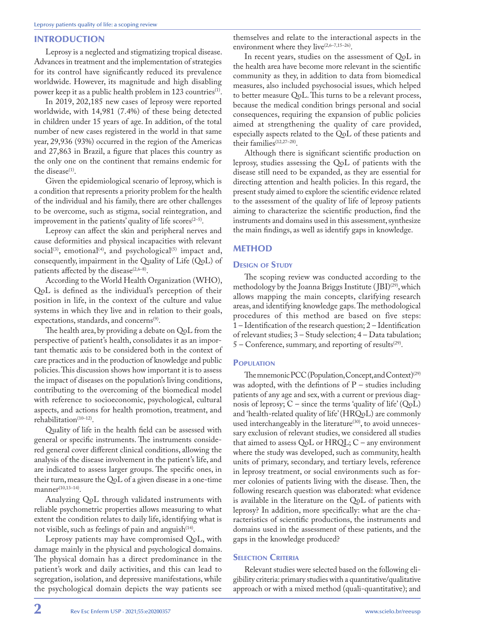## INTRODUCTION

Leprosy is a neglected and stigmatizing tropical disease. Advances in treatment and the implementation of strategies for its control have significantly reduced its prevalence worldwide. However, its magnitude and high disabling power keep it as a public health problem in 123 countries<sup>(1)</sup>.

In 2019, 202,185 new cases of leprosy were reported worldwide, with 14,981 (7.4%) of these being detected in children under 15 years of age. In addition, of the total number of new cases registered in the world in that same year, 29,936 (93%) occurred in the region of the Americas and 27,863 in Brazil, a figure that places this country as the only one on the continent that remains endemic for the disease<sup>(1)</sup>.

Given the epidemiological scenario of leprosy, which is a condition that represents a priority problem for the health of the individual and his family, there are other challenges to be overcome, such as stigma, social reintegration, and improvement in the patients' quality of life scores $(2-5)$ .

Leprosy can affect the skin and peripheral nerves and cause deformities and physical incapacities with relevant social<sup>(3)</sup>, emotional<sup>(4)</sup>, and psychological<sup>(5)</sup> impact and, consequently, impairment in the Quality of Life (QoL) of patients affected by the disease<sup> $(2,6-8)$ </sup>.

According to the World Health Organization (WHO), QoL is defined as the individual's perception of their position in life, in the context of the culture and value systems in which they live and in relation to their goals, expectations, standards, and concerns<sup>(9)</sup>.

The health area, by providing a debate on QoL from the perspective of patient's health, consolidates it as an important thematic axis to be considered both in the context of care practices and in the production of knowledge and public policies. This discussion shows how important it is to assess the impact of diseases on the population's living conditions, contributing to the overcoming of the biomedical model with reference to socioeconomic, psychological, cultural aspects, and actions for health promotion, treatment, and rehabilitation<sup>(10-12)</sup>.

Quality of life in the health field can be assessed with general or specific instruments. The instruments considered general cover different clinical conditions, allowing the analysis of the disease involvement in the patient's life, and are indicated to assess larger groups. The specific ones, in their turn, measure the QoL of a given disease in a one-time  $manner<sup>(10,13-14)</sup>$ .

Analyzing QoL through validated instruments with reliable psychometric properties allows measuring to what extent the condition relates to daily life, identifying what is not visible, such as feelings of pain and anguish<sup>(14)</sup>.

Leprosy patients may have compromised QoL, with damage mainly in the physical and psychological domains. The physical domain has a direct predominance in the patient's work and daily activities, and this can lead to segregation, isolation, and depressive manifestations, while the psychological domain depicts the way patients see

themselves and relate to the interactional aspects in the environment where they live<sup>(2,6-7,15-26)</sup>.

In recent years, studies on the assessment of QoL in the health area have become more relevant in the scientific community as they, in addition to data from biomedical measures, also included psychosocial issues, which helped to better measure QoL. This turns to be a relevant process, because the medical condition brings personal and social consequences, requiring the expansion of public policies aimed at strengthening the quality of care provided, especially aspects related to the QoL of these patients and their families<sup>(12,27-28)</sup>.

Although there is significant scientific production on leprosy, studies assessing the QoL of patients with the disease still need to be expanded, as they are essential for directing attention and health policies. In this regard, the present study aimed to explore the scientific evidence related to the assessment of the quality of life of leprosy patients aiming to characterize the scientific production, find the instruments and domains used in this assessment, synthesize the main findings, as well as identify gaps in knowledge.

# **METHOD**

## **DESIGN OF STUDY**

The scoping review was conducted according to the methodology by the Joanna Briggs Institute (JBI)<sup>(29)</sup>, which allows mapping the main concepts, clarifying research areas, and identifying knowledge gaps. The methodological procedures of this method are based on five steps: 1 – Identification of the research question; 2 – Identification of relevant studies; 3 – Study selection; 4 – Data tabulation;  $5$  – Conference, summary, and reporting of results<sup>(29)</sup>.

#### **POPULATION**

The mnemonic PCC (Population, Concept, and Context)<sup>(29)</sup> was adopted, with the defintions of  $P$  – studies including patients of any age and sex, with a current or previous diagnosis of leprosy;  $C$  – since the terms 'quality of life' (QoL) and 'health-related quality of life' (HRQoL) are commonly used interchangeably in the literature<sup>(30)</sup>, to avoid unnecessary exclusion of relevant studies, we considered all studies that aimed to assess QoL or HRQL; C – any environment where the study was developed, such as community, health units of primary, secondary, and tertiary levels, reference in leprosy treatment, or social environments such as former colonies of patients living with the disease. Then, the following research question was elaborated: what evidence is available in the literature on the QoL of patients with leprosy? In addition, more specifically: what are the characteristics of scientific productions, the instruments and domains used in the assessment of these patients, and the gaps in the knowledge produced?

## **SELECTION CRITERIA**

Relevant studies were selected based on the following eligibility criteria: primary studies with a quantitative/qualitative approach or with a mixed method (quali-quantitative); and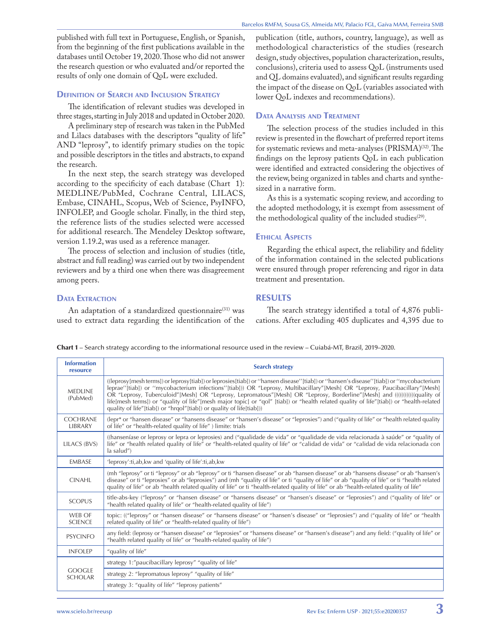published with full text in Portuguese, English, or Spanish, from the beginning of the first publications available in the databases until October 19, 2020. Those who did not answer the research question or who evaluated and/or reported the results of only one domain of QoL were excluded.

# **DEFINITION OF SEARCH AND INCLUSION STRATEGY**

The identification of relevant studies was developed in three stages, starting in July 2018 and updated in October 2020.

A preliminary step of research was taken in the PubMed and Lilacs databases with the descriptors "quality of life" AND "leprosy", to identify primary studies on the topic and possible descriptors in the titles and abstracts, to expand the research.

In the next step, the search strategy was developed according to the specificity of each database (Chart 1): MEDLINE/PubMed, Cochrane Central, LILACS, Embase, CINAHL, Scopus, Web of Science, PsyINFO, INFOLEP, and Google scholar. Finally, in the third step, the reference lists of the studies selected were accessed for additional research. The Mendeley Desktop software, version 1.19.2, was used as a reference manager.

The process of selection and inclusion of studies (title, abstract and full reading) was carried out by two independent reviewers and by a third one when there was disagreement among peers.

## **DATA EXTRACTION**

An adaptation of a standardized questionnaire<sup>(31)</sup> was used to extract data regarding the identification of the

publication (title, authors, country, language), as well as methodological characteristics of the studies (research design, study objectives, population characterization, results, conclusions), criteria used to assess QoL (instruments used and QL domains evaluated), and significant results regarding the impact of the disease on QoL (variables associated with lower QoL indexes and recommendations).

## Data Analysis and Treatment

The selection process of the studies included in this review is presented in the flowchart of preferred report items for systematic reviews and meta-analyses (PRISMA)<sup>(32)</sup>. The findings on the leprosy patients QoL in each publication were identified and extracted considering the objectives of the review, being organized in tables and charts and synthesized in a narrative form.

As this is a systematic scoping review, and according to the adopted methodology, it is exempt from assessment of the methodological quality of the included studies $(29)$ .

## **ETHICAL ASPECTS**

Regarding the ethical aspect, the reliability and fidelity of the information contained in the selected publications were ensured through proper referencing and rigor in data treatment and presentation.

# RESULTS

The search strategy identified a total of 4,876 publications. After excluding 405 duplicates and 4,395 due to

Chart 1 – Search strategy according to the informational resource used in the review – Cuiabá-MT, Brazil, 2019–2020.

| <b>Information</b><br>resource  | <b>Search strategy</b>                                                                                                                                                                                                                                                                                                                                                                                                                                                                                                                                                                                                |
|---------------------------------|-----------------------------------------------------------------------------------------------------------------------------------------------------------------------------------------------------------------------------------------------------------------------------------------------------------------------------------------------------------------------------------------------------------------------------------------------------------------------------------------------------------------------------------------------------------------------------------------------------------------------|
| <b>MEDLINE</b><br>(PubMed)      | ((leprosy[mesh terms]) or leprosy[tiab]) or leprosies[tiab]) or "hansen disease"[tiab]) or "hansen's disease"[tiab]) or "mycobacterium"<br>leprae"(tiab]) or "mycobacterium infections"(tiab])) OR "Leprosy, Multibacillary"[Mesh] OR "Leprosy, Paucibacillary"[Mesh]<br>OR "Leprosy, Tuberculoid"[Mesh] OR "Leprosy, Lepromatous"[Mesh] OR "Leprosy, Borderline"[Mesh] and ((((((((((((quality of<br>life[mesh terms]) or "quality of life"[mesh major topic] or "qol" [tiab]) or "health related quality of life"[tiab]) or "health-related<br>quality of life"[tiab]) or "hrqol"[tiab]) or quality of life[tiab])) |
| <b>COCHRANE</b><br>LIBRARY      | (lepr* or "hansen disease" or "hansens disease" or "hansen's disease" or "leprosies") and ("quality of life" or "health related quality<br>of life" or "health-related quality of life") limite: trials                                                                                                                                                                                                                                                                                                                                                                                                               |
| LILACS (BVS)                    | ((hanseníase or leprosy or lepra or leprosies) and ("qualidade de vida" or "qualidade de vida relacionada à saúde" or "quality of<br>life" or "health related quality of life" or "health-related quality of life" or "calidad de vida" or "calidad de vida relacionada con<br>la salud")                                                                                                                                                                                                                                                                                                                             |
| <b>FMBASE</b>                   | 'leprosy':ti, ab, kw and 'quality of life':ti, ab, kw                                                                                                                                                                                                                                                                                                                                                                                                                                                                                                                                                                 |
| <b>CINAHL</b>                   | (mh "leprosy" or ti "leprosy" or ab "leprosy" or ti "hansen disease" or ab "hansen disease" or ab "hansens disease" or ab "hansen's<br>disease" or ti "leprosies" or ab "leprosies") and (mh "quality of life" or ti "quality of life" or ab "quality of life" or ti "health related<br>quality of life" or ab "health related quality of life" or ti "health-related quality of life" or ab "health-related quality of life"                                                                                                                                                                                         |
| <b>SCOPUS</b>                   | title-abs-key ("leprosy" or "hansen disease" or "hansens disease" or "hansen's disease" or "leprosies") and ("quality of life" or<br>"health related quality of life" or "health-related quality of life")                                                                                                                                                                                                                                                                                                                                                                                                            |
| WFB OF<br><b>SCIENCE</b>        | topic: (("leprosy" or "hansen disease" or "hansens disease" or "hansen's disease" or "leprosies") and ("quality of life" or "health<br>related quality of life" or "health-related quality of life")                                                                                                                                                                                                                                                                                                                                                                                                                  |
| <b>PSYCINFO</b>                 | any field: (leprosy or "hansen disease" or "leprosies" or "hansens disease" or "hansen's disease") and any field: ("quality of life" or<br>"health related quality of life" or "health-related quality of life")                                                                                                                                                                                                                                                                                                                                                                                                      |
| <b>INFOLEP</b>                  | "quality of life"                                                                                                                                                                                                                                                                                                                                                                                                                                                                                                                                                                                                     |
| <b>GOOGLE</b><br><b>SCHOLAR</b> | strategy 1:"paucibacillary leprosy" "quality of life"                                                                                                                                                                                                                                                                                                                                                                                                                                                                                                                                                                 |
|                                 | strategy 2: "lepromatous leprosy" "quality of life"                                                                                                                                                                                                                                                                                                                                                                                                                                                                                                                                                                   |
|                                 | strategy 3: "quality of life" "leprosy patients"                                                                                                                                                                                                                                                                                                                                                                                                                                                                                                                                                                      |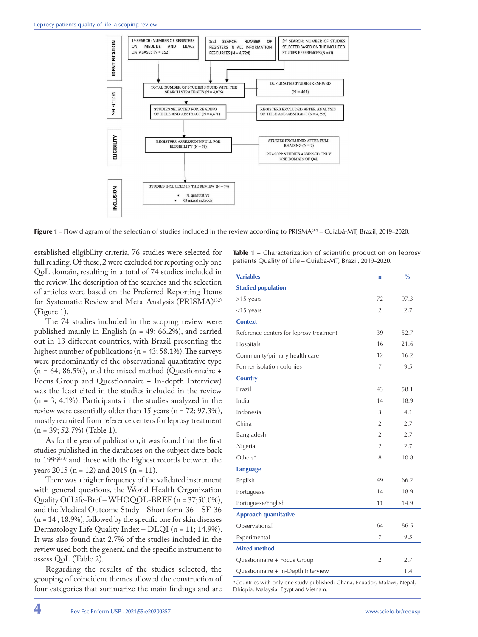

Figure 1 – Flow diagram of the selection of studies included in the review according to PRISMA(32) – Cuiabá-MT, Brazil, 2019–2020.

established eligibility criteria, 76 studies were selected for full reading. Of these, 2 were excluded for reporting only one QoL domain, resulting in a total of 74 studies included in the review. The description of the searches and the selection of articles were based on the Preferred Reporting Items for Systematic Review and Meta-Analysis (PRISMA)<sup>(32)</sup> (Figure 1).

The 74 studies included in the scoping review were published mainly in English (n = 49; 66.2%), and carried out in 13 different countries, with Brazil presenting the highest number of publications ( $n = 43$ ; 58.1%). The surveys were predominantly of the observational quantitative type  $(n = 64; 86.5\%)$ , and the mixed method (Questionnaire + Focus Group and Questionnaire + In-depth Interview) was the least cited in the studies included in the review  $(n = 3; 4.1\%)$ . Participants in the studies analyzed in the review were essentially older than 15 years (n = 72; 97.3%), mostly recruited from reference centers for leprosy treatment  $(n = 39; 52.7%)$  (Table 1).

As for the year of publication, it was found that the first studies published in the databases on the subject date back to  $1999^{(33)}$  and those with the highest records between the years 2015 (n = 12) and 2019 (n = 11).

There was a higher frequency of the validated instrument with general questions, the World Health Organization Quality Of Life-Bref – WHOQOL-BREF (n = 37;50.0%), and the Medical Outcome Study – Short form-36 – SF-36  $(n = 14; 18.9%)$ , followed by the specific one for skin diseases Dermatology Life Quality Index – DLQI (n = 11; 14.9%). It was also found that 2.7% of the studies included in the review used both the general and the specific instrument to assess QoL (Table 2).

Regarding the results of the studies selected, the grouping of coincident themes allowed the construction of four categories that summarize the main findings and are

Table 1 – Characterization of scientific production on leprosy patients Quality of Life – Cuiabá-MT, Brazil, 2019–2020.

| <b>Variables</b>                        | $\mathbf n$    | $\frac{0}{0}$ |  |  |
|-----------------------------------------|----------------|---------------|--|--|
| <b>Studied population</b>               |                |               |  |  |
| $>15$ years                             | 72             | 97.3          |  |  |
| $<$ 15 years                            | $\overline{2}$ | 2.7           |  |  |
| <b>Context</b>                          |                |               |  |  |
| Reference centers for leprosy treatment | 39             | 52.7          |  |  |
| Hospitals                               | 16             | 21.6          |  |  |
| Community/primary health care           | 12             | 16.2          |  |  |
| Former isolation colonies               | 7              | 9.5           |  |  |
| <b>Country</b>                          |                |               |  |  |
| Brazil                                  | 43             | 58.1          |  |  |
| India                                   | 14             | 18.9          |  |  |
| Indonesia                               | 3              | 4.1           |  |  |
| China                                   | $\overline{2}$ | 2.7           |  |  |
| Bangladesh                              | $\overline{2}$ | 2.7           |  |  |
| Nigeria                                 | $\overline{2}$ | 2.7           |  |  |
| Others*                                 | 8              | 10.8          |  |  |
| <b>Language</b>                         |                |               |  |  |
| English                                 | 49             | 66.2          |  |  |
| Portuguese                              | 14             | 18.9          |  |  |
| Portuguese/English                      | 11             | 14.9          |  |  |
| <b>Approach quantitative</b>            |                |               |  |  |
| Observational                           | 64             | 86.5          |  |  |
| Experimental                            | 7              | 9.5           |  |  |
| <b>Mixed method</b>                     |                |               |  |  |
| Questionnaire + Focus Group             | $\overline{2}$ | 2.7           |  |  |
| Questionnaire + In-Depth Interview      | 1              | 1.4           |  |  |

\*Countries with only one study published: Ghana, Ecuador, Malawi, Nepal, Ethiopia, Malaysia, Egypt and Vietnam.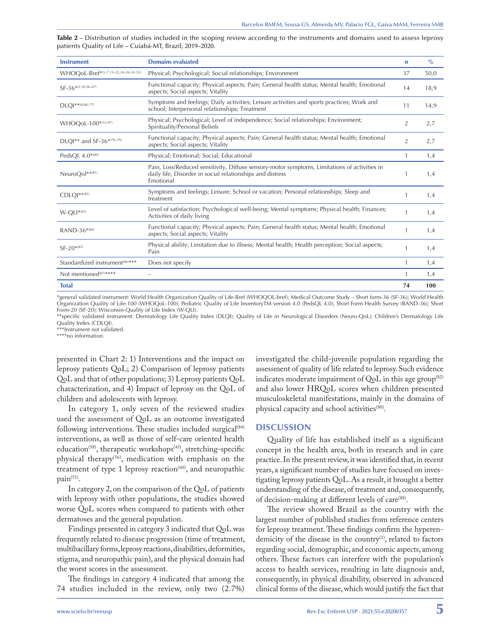Table 2 – Distribution of studies included in the scoping review according to the instruments and domains used to assess leprosy patients Quality of Life – Cuiabá-MT, Brazil, 2019–2020.

| <b>Instrument</b>                          | <b>Domains evaluated</b>                                                                                                                                               | n              | $\frac{0}{0}$ |
|--------------------------------------------|------------------------------------------------------------------------------------------------------------------------------------------------------------------------|----------------|---------------|
| WHOQoL-Bref*(5-7,15-22,24-26,34-55)        | Physical; Psychological; Social relationships; Environment                                                                                                             | 37             | 50,0          |
| $SF-36*(2,10,56-67)$                       | Functional capacity; Physical aspects; Pain; General health status; Mental health; Emotional<br>aspects; Social aspects; Vitality                                      | 14             | 18,9          |
| DLQI**(8,68-77)                            | Symptoms and feelings; Daily activities; Leisure activities and sports practices; Work and<br>school; Interpersonal relationships; Treatment                           | 11             | 14,9          |
| WHOQoL-100*(33,47)                         | Physical; Psychological; Level of independence; Social relationships; Environment;<br>Spirituality/Personal Beliefs                                                    | $\overline{2}$ | 2,7           |
| DLOI** and SF-36*(78-79)                   | Functional capacity; Physical aspects; Pain; General health status; Mental health; Emotional<br>aspects; Social aspects; Vitality                                      | $\overline{2}$ | 2,7           |
| PedsOL 4.0*(80)                            | Physical; Emotional; Social; Educational                                                                                                                               | 1              | 1,4           |
| NeuroOol**(81)                             | Pain, Loss/Reduced sensitivity, Diffuse sensory-motor symptoms, Limitations of activities in<br>daily life, Disorder in social relationships and distress<br>Emotional | 1              | 1,4           |
| $CDLOI***(82)$                             | Symptoms and feelings; Leisure; School or vacation; Personal relationships; Sleep and<br>treatment                                                                     | 1              | 1,4           |
| $W-OLI^{*(83)}$                            | Level of satisfaction; Psychological well-being; Mental symptoms; Physical health; Finances;<br>Activities of daily living                                             | 1              | 1,4           |
| RAND-36*(84)                               | Functional capacity; Physical aspects; Pain; General health status; Mental health; Emotional<br>aspects; Social aspects; Vitality                                      | 1              | 1,4           |
| $SF-20^{*(85)}$                            | Physical ability; Limitation due to illness; Mental health; Health perception; Social aspects;<br>Pain                                                                 | 1              | 1,4           |
| Standardized instrument <sup>(86)***</sup> | Does not specify                                                                                                                                                       | 1              | 1,4           |
| Not mentioned <sup>(87)****</sup>          | $\overline{\phantom{0}}$                                                                                                                                               | 1              | 1,4           |
| <b>Total</b>                               |                                                                                                                                                                        | 74             | 100           |

\*general validated instrument: World Health Organization Quality of Life-Bref (WHOQOL-bref); Medical Outcome Study – Short form-36 (SF-36); World Health Organization Quality of Life-100 (WHOQoL-100); Pediatric Quality of Life InventoryTM version 4.0 (PedsQL 4.0); Short Form Health Survey (RAND-36); Short Form-20 (SF-20); Wisconsin-Quality of Life Index (W-QLI).

\*\*specific validated instrument: Dermatology Life Quality Index (DLQI); Quality of Life in Neurological Disorders (Neuro-QoL); Children's Dermatology Life Quality Index (CDLQI).

\*\*\*Instrument not validated.

\*\*\*\*no information.

presented in Chart 2: 1) Interventions and the impact on leprosy patients QoL; 2) Comparison of leprosy patients QoL and that of other populations; 3) Leprosy patients QoL characterization, and 4) Impact of leprosy on the QoL of children and adolescents with leprosy.

In category 1, only seven of the reviewed studies used the assessment of QoL as an outcome investigated following interventions. These studies included surgical $(84)$ interventions, as well as those of self-care oriented health education<sup>(58)</sup>, therapeutic workshops<sup>(43)</sup>, stretching-specific physical therapy<sup>(56)</sup>, medication with emphasis on the treatment of type 1 leprosy reaction<sup> $(60)$ </sup>, and neuropathic  $pain<sup>(51)</sup>$ .

In category 2, on the comparison of the QoL of patients with leprosy with other populations, the studies showed worse QoL scores when compared to patients with other dermatoses and the general population.

Findings presented in category 3 indicated that QoL was frequently related to disease progression (time of treatment, multibacillary forms, leprosy reactions, disabilities, deformities, stigma, and neuropathic pain), and the physical domain had the worst scores in the assessment.

The findings in category 4 indicated that among the 74 studies included in the review, only two (2.7%)

investigated the child-juvenile population regarding the assessment of quality of life related to leprosy. Such evidence indicates moderate impairment of  $Q_0L$  in this age group<sup>(82)</sup> and also lower HRQoL scores when children presented musculoskeletal manifestations, mainly in the domains of physical capacity and school activities<sup>(80)</sup>.

#### **DISCUSSION**

Quality of life has established itself as a significant concept in the health area, both in research and in care practice. In the present review, it was identified that, in recent years, a significant number of studies have focused on investigating leprosy patients QoL. As a result, it brought a better understanding of the disease, of treatment and, consequently, of decision-making at different levels of care(88).

The review showed Brazil as the country with the largest number of published studies from reference centers for leprosy treatment. These findings confirm the hyperendemicity of the disease in the country<sup>(1)</sup>, related to factors regarding social, demographic, and economic aspects, among others. These factors can interfere with the population's access to health services, resulting in late diagnosis and, consequently, in physical disability, observed in advanced clinical forms of the disease, which would justify the fact that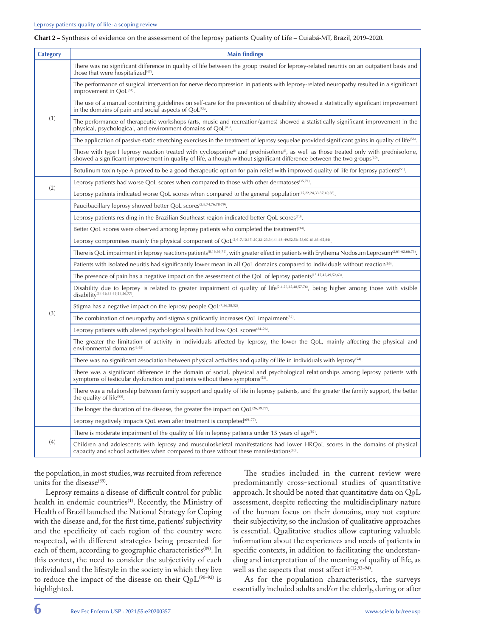Chart 2 – Synthesis of evidence on the assessment of the leprosy patients Quality of Life – Cuiabá-MT, Brazil, 2019–2020.

| <b>Category</b> | <b>Main findings</b>                                                                                                                                                                                                                                                       |
|-----------------|----------------------------------------------------------------------------------------------------------------------------------------------------------------------------------------------------------------------------------------------------------------------------|
| (1)             | There was no significant difference in quality of life between the group treated for leprosy-related neuritis on an outpatient basis and<br>those that were hospitalized <sup>(47)</sup> .                                                                                 |
|                 | The performance of surgical intervention for nerve decompression in patients with leprosy-related neuropathy resulted in a significant<br>improvement in QoL <sup>(84)</sup> .                                                                                             |
|                 | The use of a manual containing guidelines on self-care for the prevention of disability showed a statistically significant improvement<br>in the domains of pain and social aspects of QoL <sup>(58)</sup> .                                                               |
|                 | The performance of therapeutic workshops (arts, music and recreation/games) showed a statistically significant improvement in the<br>physical, psychological, and environment domains of QoL <sup>(43)</sup> .                                                             |
|                 | The application of passive static stretching exercises in the treatment of leprosy sequelae provided significant gains in quality of life <sup>66</sup> .                                                                                                                  |
|                 | Those with type I leprosy reaction treated with cyclosporine® and prednisolone®, as well as those treated only with prednisolone,<br>showed a significant improvement in quality of life, although without significant difference between the two groups <sup>(60)</sup> . |
|                 | Botulinum toxin type A proved to be a good therapeutic option for pain relief with improved quality of life for leprosy patients <sup>(51)</sup> .                                                                                                                         |
| (2)             | Leprosy patients had worse QoL scores when compared to those with other dermatoses <sup>(35,71)</sup> .                                                                                                                                                                    |
|                 | Leprosy patients indicated worse QoL scores when compared to the general population <sup>(15,22,24,33,37,40,66)</sup> .                                                                                                                                                    |
|                 | Paucibacillary leprosy showed better QoL scores <sup>(2,8,74,76,78-79)</sup> .                                                                                                                                                                                             |
|                 | Leprosy patients residing in the Brazilian Southeast region indicated better QoL scores <sup>(70)</sup> .                                                                                                                                                                  |
|                 | Better QoL scores were observed among leprosy patients who completed the treatment <sup>(34)</sup> .                                                                                                                                                                       |
|                 | Leprosy compromises mainly the physical component of QoL <sup>(2,6-7,10,15-20,22-23,34,44,48-49,52,56-58,60-61,63-65,84)</sup> .                                                                                                                                           |
|                 | There is QoL impairment in leprosy reactions patients <sup>(8,16,66,76</sup> ), with greater effect in patients with Erythema Nodosum Leprosum <sup>(2,61-62,66,73)</sup>                                                                                                  |
|                 | Patients with isolated neuritis had significantly lower mean in all QoL domains compared to individuals without reaction <sup>660</sup> .                                                                                                                                  |
|                 | The presence of pain has a negative impact on the assessment of the QoL of leprosy patients <sup>(15,17,42,49,52,63)</sup> .                                                                                                                                               |
|                 | Disability due to leprosy is related to greater impairment of quality of life <sup><math>(2,4,26,35,48,57,76)</math></sup> , being higher among those with visible<br>disability <sup>(34-36,38-39,54,56,77)</sup>                                                         |
|                 | Stigma has a negative impact on the leprosy people $QoL^{(7,36,38,52)}$ .                                                                                                                                                                                                  |
| (3)             | The combination of neuropathy and stigma significantly increases QoL impairment <sup><math>(52)</math></sup> .                                                                                                                                                             |
|                 | Leprosy patients with altered psychological health had low QoL scores <sup>(24-26)</sup> .                                                                                                                                                                                 |
|                 | The greater the limitation of activity in individuals affected by leprosy, the lower the QoL, mainly affecting the physical and<br>environmental domains <sup>(6,48)</sup> .                                                                                               |
|                 | There was no significant association between physical activities and quality of life in individuals with leprosy <sup>(54)</sup> .                                                                                                                                         |
|                 | There was a significant difference in the domain of social, physical and psychological relationships among leprosy patients with<br>symptoms of testicular dysfunction and patients without these symptoms <sup>(53)</sup> .                                               |
|                 | There was a relationship between family support and quality of life in leprosy patients, and the greater the family support, the better<br>the quality of life <sup>(55)</sup> .                                                                                           |
|                 | The longer the duration of the disease, the greater the impact on $QoL^{(26,39,77)}$ .                                                                                                                                                                                     |
|                 | Leprosy negatively impacts QoL even after treatment is completed <sup>(69-77)</sup> .                                                                                                                                                                                      |
|                 | There is moderate impairment of the quality of life in leprosy patients under 15 years of age <sup>(82)</sup> .                                                                                                                                                            |
| (4)             | Children and adolescents with leprosy and musculoskeletal manifestations had lower HRQoL scores in the domains of physical<br>capacity and school activities when compared to those without these manifestations <sup>(80)</sup> .                                         |

the population, in most studies, was recruited from reference units for the disease<sup>(89)</sup>.

Leprosy remains a disease of difficult control for public health in endemic countries<sup>(1)</sup>. Recently, the Ministry of Health of Brazil launched the National Strategy for Coping with the disease and, for the first time, patients' subjectivity and the specificity of each region of the country were respected, with different strategies being presented for each of them, according to geographic characteristics<sup>(89)</sup>. In this context, the need to consider the subjectivity of each individual and the lifestyle in the society in which they live to reduce the impact of the disease on their  $QoL^{(90-92)}$  is highlighted.

The studies included in the current review were predominantly cross-sectional studies of quantitative approach. It should be noted that quantitative data on QoL assessment, despite reflecting the multidisciplinary nature of the human focus on their domains, may not capture their subjectivity, so the inclusion of qualitative approaches is essential. Qualitative studies allow capturing valuable information about the experiences and needs of patients in specific contexts, in addition to facilitating the understanding and interpretation of the meaning of quality of life, as well as the aspects that most affect it $(12,93-94)$ .

As for the population characteristics, the surveys essentially included adults and/or the elderly, during or after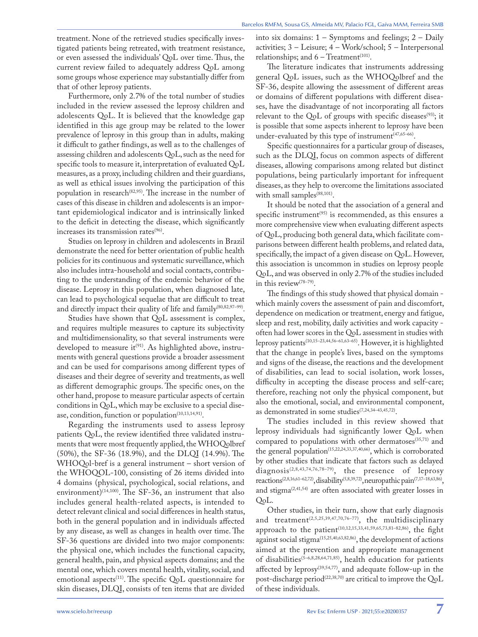treatment. None of the retrieved studies specifically investigated patients being retreated, with treatment resistance, or even assessed the individuals' QoL over time. Thus, the current review failed to adequately address QoL among some groups whose experience may substantially differ from that of other leprosy patients.

Furthermore, only 2.7% of the total number of studies included in the review assessed the leprosy children and adolescents QoL. It is believed that the knowledge gap identified in this age group may be related to the lower prevalence of leprosy in this group than in adults, making it difficult to gather findings, as well as to the challenges of assessing children and adolescents QoL, such as the need for specific tools to measure it, interpretation of evaluated QoL measures, as a proxy, including children and their guardians, as well as ethical issues involving the participation of this population in research<sup> $(82,95)$ </sup>. The increase in the number of cases of this disease in children and adolescents is an important epidemiological indicator and is intrinsically linked to the deficit in detecting the disease, which significantly increases its transmission rates<sup>(96)</sup>.

Studies on leprosy in children and adolescents in Brazil demonstrate the need for better orientation of public health policies for its continuous and systematic surveillance, which also includes intra-household and social contacts, contributing to the understanding of the endemic behavior of the disease. Leprosy in this population, when diagnosed late, can lead to psychological sequelae that are difficult to treat and directly impact their quality of life and family<sup>(80,82,97-99)</sup>.

Studies have shown that QoL assessment is complex, and requires multiple measures to capture its subjectivity and multidimensionality, so that several instruments were developed to measure it<sup>(91)</sup>. As highlighted above, instruments with general questions provide a broader assessment and can be used for comparisons among different types of diseases and their degree of severity and treatments, as well as different demographic groups. The specific ones, on the other hand, propose to measure particular aspects of certain conditions in QoL, which may be exclusive to a special disease, condition, function or population<sup>(10,13,14,91)</sup>.

Regarding the instruments used to assess leprosy patients QoL, the review identified three validated instruments that were most frequently applied, the WHOQolbref (50%), the SF-36 (18.9%), and the DLQI (14.9%). The WHOQol-bref is a general instrument – short version of the WHOQOL-100, consisting of 26 items divided into 4 domains (physical, psychological, social relations, and environment)<sup>(14,100)</sup>. The SF-36, an instrument that also includes general health-related aspects, is intended to detect relevant clinical and social differences in health status, both in the general population and in individuals affected by any disease, as well as changes in health over time. The SF-36 questions are divided into two major components: the physical one, which includes the functional capacity, general health, pain, and physical aspects domains; and the mental one, which covers mental health, vitality, social, and emotional aspects<sup>(11)</sup>. The specific QoL questionnaire for skin diseases, DLQI, consists of ten items that are divided

into six domains:  $1 -$  Symptoms and feelings;  $2 -$  Daily activities; 3 – Leisure; 4 – Work/school; 5 – Interpersonal relationships; and  $6$  – Treatment<sup>(101)</sup>.

The literature indicates that instruments addressing general QoL issues, such as the WHOQolbref and the SF-36, despite allowing the assessment of different areas or domains of different populations with different diseases, have the disadvantage of not incorporating all factors relevant to the QoL of groups with specific diseases<sup>(93)</sup>; it is possible that some aspects inherent to leprosy have been under-evaluated by this type of instrument $(47,65-66)$ .

Specific questionnaires for a particular group of diseases, such as the DLQI, focus on common aspects of different diseases, allowing comparisons among related but distinct populations, being particularly important for infrequent diseases, as they help to overcome the limitations associated with small samples<sup>(88,101)</sup>.

It should be noted that the association of a general and specific instrument<sup>(95)</sup> is recommended, as this ensures a more comprehensive view when evaluating different aspects of QoL, producing both general data, which facilitate comparisons between different health problems, and related data, specifically, the impact of a given disease on QoL. However, this association is uncommon in studies on leprosy people QoL, and was observed in only 2.7% of the studies included in this review(78–79).

The findings of this study showed that physical domain which mainly covers the assessment of pain and discomfort, dependence on medication or treatment, energy and fatigue, sleep and rest, mobility, daily activities and work capacity often had lower scores in the QoL assessment in studies with leprosy patients(10,15–23,44,56–61,63–65). However, it is highlighted that the change in people's lives, based on the symptoms and signs of the disease, the reactions and the development of disabilities, can lead to social isolation, work losses, difficulty in accepting the disease process and self-care; therefore, reaching not only the physical component, but also the emotional, social, and environmental component, as demonstrated in some studies<sup>(7,24,34-43,45,72)</sup>.

The studies included in this review showed that leprosy individuals had significantly lower QoL when compared to populations with other dermatoses $(35,71)$  and the general population<sup>(15,22,24,33,37,40,66)</sup>, which is corroborated by other studies that indicate that factors such as delayed diagnosis<sup>(2,8,43,74,76,78-79)</sup>, the presence of leprosy reactions(2,8,16,61–62,72), disability(5,8,39,72), neuropathic pain(7,17–18,63,86), and stigma(2,41,54) are often associated with greater losses in QoL.

Other studies, in their turn, show that early diagnosis and treatment<sup>(2,5,25,39,47,70,76-77)</sup>, the multidisciplinary approach to the patient<sup>(10,12,15,33,41,59,65,73,81-82,86)</sup>, the fight against social stigma(15,25,40,63,82,86), the development of actions aimed at the prevention and appropriate management of disabilities<sup>(5-6,8,28,64,71,85)</sup>, health education for patients affected by leprosy<sup>(39,54,77)</sup>, and adequate follow-up in the post-discharge period<sup>(22,38,70)</sup> are critical to improve the QoL of these individuals.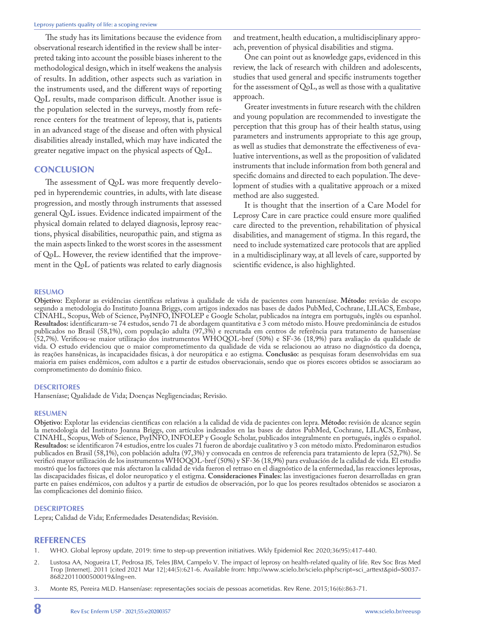The study has its limitations because the evidence from observational research identified in the review shall be interpreted taking into account the possible biases inherent to the methodological design, which in itself weakens the analysis of results. In addition, other aspects such as variation in the instruments used, and the different ways of reporting QoL results, made comparison difficult. Another issue is the population selected in the surveys, mostly from reference centers for the treatment of leprosy, that is, patients in an advanced stage of the disease and often with physical disabilities already installed, which may have indicated the greater negative impact on the physical aspects of QoL.

#### **CONCLUSION**

The assessment of QoL was more frequently developed in hyperendemic countries, in adults, with late disease progression, and mostly through instruments that assessed general QoL issues. Evidence indicated impairment of the physical domain related to delayed diagnosis, leprosy reactions, physical disabilities, neuropathic pain, and stigma as the main aspects linked to the worst scores in the assessment of QoL. However, the review identified that the improvement in the QoL of patients was related to early diagnosis

and treatment, health education, a multidisciplinary approach, prevention of physical disabilities and stigma.

One can point out as knowledge gaps, evidenced in this review, the lack of research with children and adolescents, studies that used general and specific instruments together for the assessment of QoL, as well as those with a qualitative approach.

Greater investments in future research with the children and young population are recommended to investigate the perception that this group has of their health status, using parameters and instruments appropriate to this age group, as well as studies that demonstrate the effectiveness of evaluative interventions, as well as the proposition of validated instruments that include information from both general and specific domains and directed to each population. The development of studies with a qualitative approach or a mixed method are also suggested.

It is thought that the insertion of a Care Model for Leprosy Care in care practice could ensure more qualified care directed to the prevention, rehabilitation of physical disabilities, and management of stigma. In this regard, the need to include systematized care protocols that are applied in a multidisciplinary way, at all levels of care, supported by scientific evidence, is also highlighted.

#### **RESUMO**

**Objetivo:** Explorar as evidências científicas relativas à qualidade de vida de pacientes com hanseníase. **Método:** revisão de escopo segundo a metodologia do Instituto Joanna Briggs, com artigos indexados nas bases de dados PubMed, Cochrane, LILACS, Embase, CINAHL, Scopus, Web of Science, PsyINFO, INFOLEP e Google Scholar, publicados na íntegra em português, inglês ou espanhol. Resultados: identificaram-se 74 estudos, sendo 71 de abordagem quantitativa e 3 com método misto. Houve predominância de estudos publicados no Brasil (58,1%), com população adulta (97,3%) e recrutada em centros de referência para tratamento de hanseníase (52,7%). Verificou-se maior utilização dos instrumentos WHOQOL-bref (50%) e SF-36 (18,9%) para avaliação da qualidade de vida. O estudo evidenciou que o maior comprometimento da qualidade de vida se relacionou ao atraso no diagnóstico da doença, às reações hansênicas, às incapacidades físicas, à dor neuropática e ao estigma. **Conclusão:** as pesquisas foram desenvolvidas em sua maioria em países endêmicos, com adultos e a partir de estudos observacionais, sendo que os piores escores obtidos se associaram ao comprometimento do domínio físico.

#### **DESCRITORES**

Hanseníase; Qualidade de Vida; Doenças Negligenciadas; Revisão.

#### **RESUMEN**

**Objetivo:** Explotar las evidencias científicas con relación a la calidad de vida de pacientes con lepra. **Método:** revisión de alcance según la metodología del Instituto Joanna Briggs, con artículos indexados en las bases de datos PubMed, Cochrane, LILACS, Embase, CINAHL, Scopus, Web of Science, PsyINFO, INFOLEP y Google Scholar, publicados integralmente en portugués, inglés o español. **Resultados:** se identificaron 74 estudios, entre los cuales 71 fueron de abordaje cualitativo y 3 con método mixto. Predominaron estudios publicados en Brasil (58,1%), con población adulta (97,3%) y convocada en centros de referencia para tratamiento de lepra (52,7%). Se verificó mayor utilización de los instrumentos WHOQOL-bref (50%) y SF-36 (18,9%) para evaluación de la calidad de vida. El estudio mostró que los factores que más afectaron la calidad de vida fueron el retraso en el diagnóstico de la enfermedad, las reacciones leprosas, las discapacidades físicas, el dolor neuropatico y el estigma. **Consideraciones Finales:** las investigaciones fueron desarrolladas en gran parte en países endémicos, con adultos y a partir de estudios de observación, por lo que los peores resultados obtenidos se asociaron a las complicaciones del dominio físico.

#### **DESCRIPTORES**

Lepra; Calidad de Vida; Enfermedades Desatendidas; Revisión.

#### REFERENCES

- 1. WHO. Global leprosy update, 2019: time to step-up prevention initiatives. Wkly Epidemiol Rec 2020;36(95):417-440.
- 2. Lustosa AA, Nogueira LT, Pedrosa JIS, Teles JBM, Campelo V. The impact of leprosy on health-related quality of life. Rev Soc Bras Med Trop [Internet]. 2011 [cited 2021 Mar 12];44(5):621-6. Available from: [http://www.scielo.br/scielo.php?script=sci\\_arttext&pid=S0037-](http://www.scielo.br/scielo.php?script=sci_arttext&pid=S0037-86822011000500019&lng=en.) [86822011000500019&lng=en.](http://www.scielo.br/scielo.php?script=sci_arttext&pid=S0037-86822011000500019&lng=en.)
- 3. Monte RS, Pereira MLD. Hanseníase: representações sociais de pessoas acometidas. Rev Rene. 2015;16(6):863-71.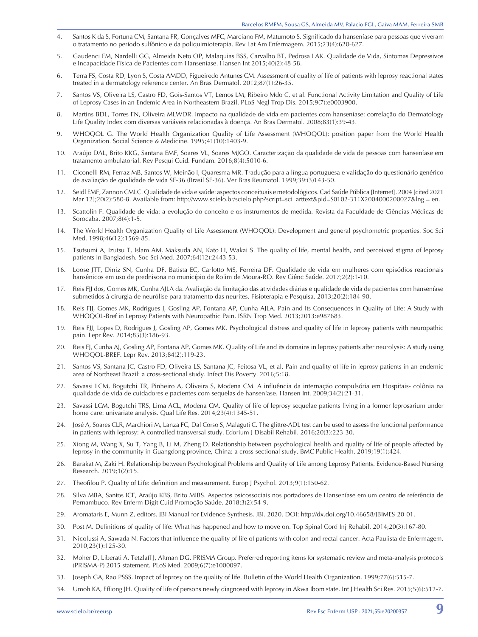- 4. Santos K da S, Fortuna CM, Santana FR, Gonçalves MFC, Marciano FM, Matumoto S. Significado da hanseníase para pessoas que viveram o tratamento no período sulfônico e da poliquimioterapia. Rev Lat Am Enfermagem. 2015;23(4):620-627.
- 5. Gaudenci EM, Nardelli GG, Almeida Neto OP, Malaquias BSS, Carvalho BT, Pedrosa LAK. Qualidade de Vida, Sintomas Depressivos e Incapacidade Física de Pacientes com Hanseníase. Hansen Int 2015;40(2):48-58.
- 6. Terra FS, Costa RD, Lyon S, Costa AMDD, Figueiredo Antunes CM. Assessment of quality of life of patients with leprosy reactional states treated in a dermatology reference center. An Bras Dermatol. 2012;87(1):26-35.
- 7. Santos VS, Oliveira LS, Castro FD, Gois-Santos VT, Lemos LM, Ribeiro Mdo C, et al. Functional Activity Limitation and Quality of Life of Leprosy Cases in an Endemic Area in Northeastern Brazil. PLoS Negl Trop Dis. 2015;9(7):e0003900.
- 8. Martins BDL, Torres FN, Oliveira MLWDR. Impacto na qualidade de vida em pacientes com hanseníase: correlação do Dermatology Life Quality Index com diversas variáveis relacionadas à doença. An Bras Dermatol. 2008;83(1):39-43.
- 9. WHOQOL G. The World Health Organization Quality of Life Assessment (WHOQOL): position paper from the World Health Organization. Social Science & Medicine. 1995;41(10):1403-9.
- 10. Araújo DAL, Brito KKG, Santana EMF, Soares VL, Soares MJGO. Caracterização da qualidade de vida de pessoas com hanseníase em tratamento ambulatorial. Rev Pesqui Cuid. Fundam. 2016;8(4):5010-6.
- 11. Ciconelli RM, Ferraz MB, Santos W, Meinão I, Quaresma MR. Tradução para a língua portuguesa e validação do questionário genérico de avaliação de qualidade de vida SF-36 (Brasil SF-36). Ver Bras Reumatol. 1999;39:(3)143-50.
- 12. Seidl EMF, Zannon CMLC. Qualidade de vida e saúde: aspectos conceituais e metodológicos. Cad Saúde Pública [Internet]. 2004 [cited 2021 Mar 12];20(2):580-8. Available from: [http://www.scielo.br/scielo.php?script=sci\\_arttext&pid=S0102-311X2004000200027&lng = en.](http://www.scielo.br/scielo.php?script=sci_arttext&pid=S0102-311X2004000200027&lng = en.)
- 13. Scattolin F. Qualidade de vida: a evolução do conceito e os instrumentos de medida. Revista da Faculdade de Ciências Médicas de Sorocaba. 2007;8(4):1-5.
- 14. The World Health Organization Quality of Life Assessment (WHOQOL): Development and general psychometric properties. Soc Sci Med. 1998;46(12):1569-85.
- 15. Tsutsumi A, Izutsu T, Islam AM, Maksuda AN, Kato H, Wakai S. The quality of life, mental health, and perceived stigma of leprosy patients in Bangladesh. Soc Sci Med. 2007;64(12):2443-53.
- 16. Loose JTT, Diniz SN, Cunha DF, Batista EC, Carlotto MS, Ferreira DF. Qualidade de vida em mulheres com episódios reacionais hansênicos em uso de prednisona no município de Rolim de Moura-RO. Rev Ciênc Saúde. 2017;2(2):1-10.
- 17. Reis FJJ dos, Gomes MK, Cunha AJLA da. Avaliação da limitação das atividades diárias e qualidade de vida de pacientes com hanseníase submetidos à cirurgia de neurólise para tratamento das neurites. Fisioterapia e Pesquisa. 2013;20(2):184-90.
- 18. Reis FJJ, Gomes MK, Rodrigues J, Gosling AP, Fontana AP, Cunha AJLA. Pain and Its Consequences in Quality of Life: A Study with WHOQOL-Bref in Leprosy Patients with Neuropathic Pain. ISRN Trop Med. 2013;2013:e987683.
- 19. Reis FJJ, Lopes D, Rodrigues J, Gosling AP, Gomes MK. Psychological distress and quality of life in leprosy patients with neuropathic pain. Lepr Rev. 2014;85(3):186-93.
- 20. Reis FJ, Cunha AJ, Gosling AP, Fontana AP, Gomes MK. Quality of Life and its domains in leprosy patients after neurolysis: A study using WHOQOL-BREF. Lepr Rev. 2013;84(2):119-23.
- 21. Santos VS, Santana JC, Castro FD, Oliveira LS, Santana JC, Feitosa VL, et al. Pain and quality of life in leprosy patients in an endemic area of Northeast Brazil: a cross-sectional study. Infect Dis Poverty. 2016;5:18.
- 22. Savassi LCM, Bogutchi TR, Pinheiro A, Oliveira S, Modena CM. A influência da internação compulsória em Hospitais- colônia na qualidade de vida de cuidadores e pacientes com sequelas de hanseníase. Hansen Int. 2009;34(2):21-31.
- 23. Savassi LCM, Bogutchi TRS, Lima ACL, Modena CM. Quality of life of leprosy sequelae patients living in a former leprosarium under home care: univariate analysis. Qual Life Res. 2014;23(4):1345-51.
- 24. José A, Soares CLR, Marchiori M, Lanza FC, Dal Corso S, Malaguti C. The glittre-ADL test can be used to assess the functional performance in patients with leprosy: A controlled transversal study. Edorium J Disabil Rehabil. 2016;20(3):223-30.
- 25. Xiong M, Wang X, Su T, Yang B, Li M, Zheng D. Relationship between psychological health and quality of life of people affected by leprosy in the community in Guangdong province, China: a cross-sectional study. BMC Public Health. 2019;19(1):424.
- 26. Barakat M, Zaki H. Relationship between Psychological Problems and Quality of Life among Leprosy Patients. Evidence-Based Nursing Research. 2019;1(2):15.
- 27. Theofilou P. Quality of Life: definition and measurement. Europ J Psychol. 2013;9(1):150-62.
- 28. Silva MBA, Santos ICF, Araújo KBS, Brito MIBS. Aspectos psicossociais nos portadores de Hanseníase em um centro de referência de Pernambuco. Rev Enferm Digit Cuid Promoção Saúde. 2018:3(2):54-9.
- 29. Aromataris E, Munn Z, editors. JBI Manual for Evidence Synthesis. JBI. 2020. DOI: http://dx.doi.org/10.46658/JBIMES-20-01.
- 30. Post M. Definitions of quality of life: What has happened and how to move on. Top Spinal Cord Inj Rehabil. 2014;20(3):167-80.
- 31. Nicolussi A, Sawada N. Factors that influence the quality of life of patients with colon and rectal cancer. Acta Paulista de Enfermagem. 2010;23(1):125-30.
- 32. Moher D, Liberati A, Tetzlaff J, Altman DG, PRISMA Group. Preferred reporting items for systematic review and meta-analysis protocols (PRISMA-P) 2015 statement. PLoS Med. 2009;6(7):e1000097.
- 33. Joseph GA, Rao PSSS. Impact of leprosy on the quality of life. Bulletin of the World Health Organization. 1999;77(6):515-7.
- 34. Umoh KA, Effiong JH. Quality of life of persons newly diagnosed with leprosy in Akwa Ibom state. Int J Health Sci Res. 2015;5(6):512-7.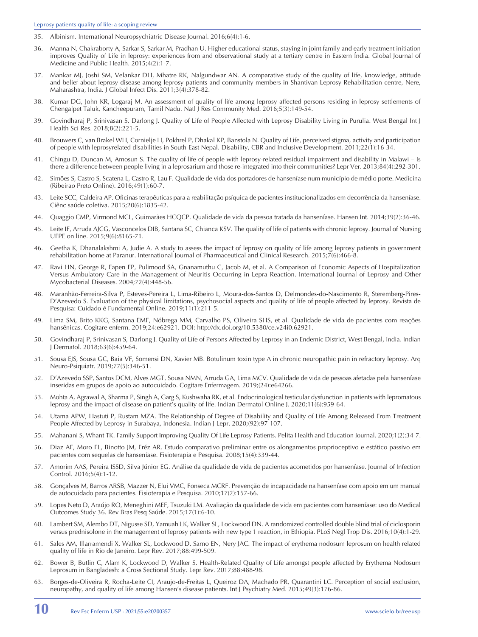- 35. Albinism. International Neuropsychiatric Disease Journal. 2016;6(4):1-6.
- 36. Manna N, Chakraborty A, Sarkar S, Sarkar M, Pradhan U. Higher educational status, staying in joint family and early treatment initiation improves Quality of Life in leprosy: experiences from and observational study at a tertiary centre in Eastern Índia. Global Journal of Medicine and Public Health. 2015;4(2):1-7.
- 37. Mankar MJ, Joshi SM, Velankar DH, Mhatre RK, Nalgundwar AN. A comparative study of the quality of life, knowledge, attitude and belief about leprosy disease among leprosy patients and community members in Shantivan Leprosy Rehabilitation centre, Nere, Maharashtra, India. J Global Infect Dis. 2011;3(4):378-82.
- 38. Kumar DG, John KR, Logaraj M. An assessment of quality of life among leprosy affected persons residing in leprosy settlements of Chengalpet Taluk, Kancheepuram, Tamil Nadu. Natl J Res Community Med. 2016;5(3):149-54.
- 39. Govindharaj P, Srinivasan S, Darlong J. Quality of Life of People Affected with Leprosy Disability Living in Purulia. West Bengal Int J Health Sci Res. 2018;8(2):221-5.
- 40. Brouwers C, van Brakel WH, Cornielje H, Pokhrel P, Dhakal KP, Banstola N. Quality of Life, perceived stigma, activity and participation of people with leprosyrelated disabilities in South-East Nepal. Disability, CBR and Inclusive Development. 2011;22(1):16-34.
- 41. Chingu D, Duncan M, Amosun S. The quality of life of people with leprosy-related residual impairment and disability in Malawi Is there a difference between people living in a leprosarium and those re-integrated into their communities? Lepr Ver. 2013;84(4):292-301.
- 42. Simões S, Castro S, Scatena L, Castro R, Lau F. Qualidade de vida dos portadores de hanseníase num município de médio porte. Medicina (Ribeirao Preto Online). 2016;49(1):60-7.
- 43. Leite SCC, Caldeira AP. Oficinas terapêuticas para a reabilitação psíquica de pacientes institucionalizados em decorrência da hanseníase. Ciênc saúde coletiva. 2015;20(6):1835-42.
- 44. Quaggio CMP, Virmond MCL, Guimarães HCQCP. Qualidade de vida da pessoa tratada da hanseníase. Hansen Int. 2014;39(2):36-46.
- 45. Leite IF, Arruda AJCG, Vasconcelos DIB, Santana SC, Chianca KSV. The quality of life of patients with chronic leprosy. Journal of Nursing UFPE on line. 2015;9(6):8165-71.
- 46. Geetha K, Dhanalakshmi A, Judie A. A study to assess the impact of leprosy on quality of life among leprosy patients in government rehabilitation home at Paranur. International Journal of Pharmaceutical and Clinical Research. 2015;7(6):466-8.
- 47. Ravi HN, George R, Eapen EP, Pulimood SA, Gnanamuthu C, Jacob M, et al. A Comparison of Economic Aspects of Hospitalization Versus Ambulatory Care in the Management of Neuritis Occurring in Lepra Reaction. International Journal of Leprosy and Other Mycobacterial Diseases. 2004;72(4):448-56.
- 48. Maranhão-Ferreira-Silva P, Esteves-Pereira L, Lima-Ribeiro L, Moura-dos-Santos D, Delmondes-do-Nascimento R, Steremberg-Pires-D'Azevedo S. Evaluation of the physical limitations, psychosocial aspects and quality of life of people affected by leprosy. Revista de Pesquisa: Cuidado é Fundamental Online. 2019;11(1):211-5.
- 49. Lima SM, Brito KKG, Santana EMF, Nóbrega MM, Carvalho PS, Oliveira SHS, et al. Qualidade de vida de pacientes com reações hansênicas. Cogitare enferm. 2019;24:e62921. DOI: http://dx.doi.org/10.5380/ce.v24i0.62921.
- 50. Govindharaj P, Srinivasan S, Darlong J. Quality of Life of Persons Affected by Leprosy in an Endemic District, West Bengal, India. Indian J Dermatol. 2018;63(6):459-64.
- 51. Sousa EJS, Sousa GC, Baia VF, Somensi DN, Xavier MB. Botulinum toxin type A in chronic neuropathic pain in refractory leprosy. Arq Neuro-Psiquiatr. 2019;77(5):346-51.
- 52. D'Azevedo SSP, Santos DCM, Alves MGT, Sousa NMN, Arruda GA, Lima MCV. Qualidade de vida de pessoas afetadas pela hanseníase inseridas em grupos de apoio ao autocuidado. Cogitare Enfermagem. 2019;(24):e64266.
- 53. Mohta A, Agrawal A, Sharma P, Singh A, Garg S, Kushwaha RK, et al. Endocrinological testicular dysfunction in patients with lepromatous leprosy and the impact of disease on patient's quality of life. Indian Dermatol Online J. 2020;11(6):959-64.
- 54. Utama APW, Hastuti P, Rustam MZA. The Relationship of Degree of Disability and Quality of Life Among Released From Treatment People Affected by Leprosy in Surabaya, Indonesia. Indian J Lepr. 2020;(92):97-107.
- 55. Mahanani S, Whant TK. Family Support Improving Quality Of Life Leprosy Patients. Pelita Health and Education Journal. 2020;1(2):34-7.
- 56. Diaz AF, Moro FL, Binotto JM, Fréz AR. Estudo comparativo preliminar entre os alongamentos proprioceptivo e estático passivo em pacientes com sequelas de hanseníase. Fisioterapia e Pesquisa. 2008;15(4):339-44.
- 57. Amorim AAS, Pereira ISSD, Silva Júnior EG. Análise da qualidade de vida de pacientes acometidos por hanseníase. Journal of Infection Control. 2016;5(4):1-12.
- 58. Gonçalves M, Barros ARSB, Mazzer N, Elui VMC, Fonseca MCRF. Prevenção de incapacidade na hanseníase com apoio em um manual de autocuidado para pacientes. Fisioterapia e Pesquisa. 2010;17(2):157-66.
- 59. Lopes Neto D, Araújo RO, Meneghini MEF, Tsuzuki LM. Avaliação da qualidade de vida em pacientes com hanseníase: uso do Medical Outcomes Study 36. Rev Bras Pesq Saúde. 2015;17(1):6-10.
- 60. Lambert SM, Alembo DT, Nigusse SD, Yamuah LK, Walker SL, Lockwood DN. A randomized controlled double blind trial of ciclosporin versus prednisolone in the management of leprosy patients with new type 1 reaction, in Ethiopia. PLoS Negl Trop Dis. 2016;10(4):1-29.
- 61. Sales AM, Illarramendi X, Walker SL, Lockwood D, Sarno EN, Nery JAC. The impact of erythema nodosum leprosum on health related quality of life in Rio de Janeiro. Lepr Rev. 2017;88:499-509.
- 62. Bower B, Butlin C, Alam K, Lockwood D, Walker S. Health-Related Quality of Life amongst people affected by Erythema Nodosum Leprosum in Bangladesh: a Cross Sectional Study. Lepr Rev. 2017;88:488-98.
- 63. Borges-de-Oliveira R, Rocha-Leite CI, Araujo-de-Freitas L, Queiroz DA, Machado PR, Quarantini LC. Perception of social exclusion, neuropathy, and quality of life among Hansen's disease patients. Int J Psychiatry Med. 2015;49(3):176-86.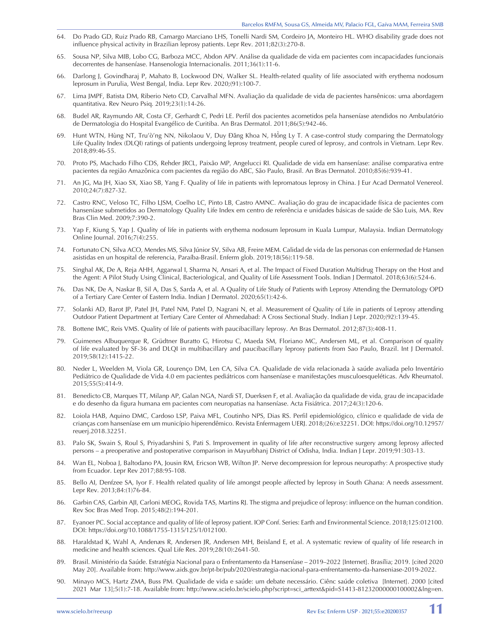- 64. Do Prado GD, Ruiz Prado RB, Camargo Marciano LHS, Tonelli Nardi SM, Cordeiro JA, Monteiro HL. WHO disability grade does not influence physical activity in Brazilian leprosy patients. Lepr Rev. 2011;82(3):270-8.
- 65. Sousa NP, Silva MIB, Lobo CG, Barboza MCC, Abdon APV. Análise da qualidade de vida em pacientes com incapacidades funcionais decorrentes de hanseníase. Hansenologia Internacionalis. 2011;36(1):11-6.
- 66. Darlong J, Govindharaj P, Mahato B, Lockwood DN, Walker SL. Health-related quality of life associated with erythema nodosum leprosum in Purulia, West Bengal, India. Lepr Rev. 2020;(91):100-7.
- 67. Lima JMPF, Batista DM, Riberio Neto CD, Carvalhal MFN. Avaliação da qualidade de vida de pacientes hansênicos: uma abordagem quantitativa. Rev Neuro Psiq. 2019;23(1):14-26.
- 68. Budel AR, Raymundo AR, Costa CF, Gerhardt C, Pedri LE. Perfil dos pacientes acometidos pela hanseníase atendidos no Ambulatório de Dermatologia do Hospital Evangélico de Curitiba. An Bras Dermatol. 2011;86(5):942-46.
- 69. Hunt WTN, Hùng NT, Tru'ò'ng NN, Nikolaou V, Duy Đăng Khoa N, Hồng Ly T. A case-control study comparing the Dermatology Life Quality Index (DLQI) ratings of patients undergoing leprosy treatment, people cured of leprosy, and controls in Vietnam. Lepr Rev. 2018;89:46-55.
- 70. Proto PS, Machado Filho CDS, Rehder JRCL, Paixão MP, Angelucci RI. Qualidade de vida em hanseníase: análise comparativa entre pacientes da região Amazônica com pacientes da região do ABC, São Paulo, Brasil. An Bras Dermatol. 2010;85(6):939-41.
- 71. An JG, Ma JH, Xiao SX, Xiao SB, Yang F. Quality of life in patients with lepromatous leprosy in China. J Eur Acad Dermatol Venereol. 2010;24(7):827-32.
- 72. Castro RNC, Veloso TC, Filho LJSM, Coelho LC, Pinto LB, Castro AMNC. Avaliação do grau de incapacidade física de pacientes com hanseníase submetidos ao Dermatology Quality Life Index em centro de referência e unidades básicas de saúde de São Luis, MA. Rev Bras Clin Med. 2009;7:390-2.
- 73. Yap F, Kiung S, Yap J. Quality of life in patients with erythema nodosum leprosum in Kuala Lumpur, Malaysia. Indian Dermatology Online Journal. 2016;7(4):255.
- 74. Fortunato CN, Silva ACO, Mendes MS, Silva Júnior SV, Silva AB, Freire MEM. Calidad de vida de las personas con enfermedad de Hansen asistidas en un hospital de referencia, Paraíba-Brasil. Enferm glob. 2019;18(56):119-58.
- 75. Singhal AK, De A, Reja AHH, Aggarwal I, Sharma N, Ansari A, et al. The Impact of Fixed Duration Multidrug Therapy on the Host and the Agent: A Pilot Study Using Clinical, Bacteriological, and Quality of Life Assessment Tools. Indian J Dermatol. 2018;63(6):524-6.
- 76. Das NK, De A, Naskar B, Sil A, Das S, Sarda A, et al. A Quality of Life Study of Patients with Leprosy Attending the Dermatology OPD of a Tertiary Care Center of Eastern India. Indian J Dermatol. 2020;65(1):42-6.
- 77. Solanki AD, Barot JP, Patel JH, Patel NM, Patel D, Nagrani N, et al. Measurement of Quality of Life in patients of Leprosy attending Outdoor Patient Department at Tertiary Care Center of Ahmedabad: A Cross Sectional Study. Indian J Lepr. 2020;(92):139-45.
- 78. Bottene IMC, Reis VMS. Quality of life of patients with paucibacillary leprosy. An Bras Dermatol. 2012;87(3):408-11.
- 79. Guimenes Albuquerque R, Grüdtner Buratto G, Hirotsu C, Maeda SM, Floriano MC, Andersen ML, et al. Comparison of quality of life evaluated by SF-36 and DLQI in multibacillary and paucibacillary leprosy patients from Sao Paulo, Brazil. Int J Dermatol. 2019;58(12):1415-22.
- 80. Neder L, Weelden M, Viola GR, Lourenço DM, Len CA, Silva CA. Qualidade de vida relacionada à saúde avaliada pelo Inventário Pediátrico de Qualidade de Vida 4.0 em pacientes pediátricos com hanseníase e manifestações musculoesqueléticas. Adv Rheumatol. 2015;55(5):414-9.
- 81. Benedicto CB, Marques TT, Milanp AP, Galan NGA, Nardi ST, Duerksen F, et al. Avaliação da qualidade de vida, grau de incapacidade e do desenho da figura humana em pacientes com neuropatias na hanseníase. Acta Fisiátrica. 2017;24(3):120-6.
- 82. Loiola HAB, Aquino DMC, Cardoso LSP, Paiva MFL, Coutinho NPS, Dias RS. Perfil epidemiológico, clínico e qualidade de vida de crianças com hanseníase em um município hiperendêmico. Revista Enfermagem UERJ. 2018;(26):e32251. DOI: https://doi.org/10.12957/ reuerj.2018.32251.
- 83. Palo SK, Swain S, Roul S, Priyadarshini S, Pati S. Improvement in quality of life after reconstructive surgery among leprosy affected persons – a preoperative and postoperative comparison in Mayurbhanj District of Odisha, India. Indian J Lepr. 2019;91:303-13.
- 84. Wan EL, Noboa J, Baltodano PA, Jousin RM, Ericson WB, Wilton JP. Nerve decompression for leprous neuropathy: A prospective study from Ecuador. Lepr Rev 2017;88:95-108.
- 85. Bello AI, Denfzee SA, Iyor F. Health related quality of life amongst people affected by leprosy in South Ghana: A needs assessment. Lepr Rev. 2013;84:(1)76-84.
- 86. Garbin CAS, Garbin AJI, Carloni MEOG, Rovida TAS, Martins RJ. The stigma and prejudice of leprosy: influence on the human condition. Rev Soc Bras Med Trop. 2015;48(2):194-201.
- 87. Eyanoer PC. Social acceptance and quality of life of leprosy patient. IOP Conf. Series: Earth and Environmental Science. 2018;125:012100. DOI: https://doi.org/10.1088/1755-1315/125/1/012100.
- 88. Haraldstad K, Wahl A, Andenæs R, Andersen JR, Andersen MH, Beisland E, et al. A systematic review of quality of life research in medicine and health sciences. Qual Life Res. 2019;28(10):2641-50.
- 89. Brasil. Ministério da Saúde. Estratégia Nacional para o Enfrentamento da Hanseníase 2019–2022 [Internet]. Brasília; 2019. [cited 2020 May 20]. Available from: http://www.aids.gov.br/pt-br/pub/2020/estrategia-nacional-para-enfrentamento-da-hanseniase-2019-2022.
- 90. Minayo MCS, Hartz ZMA, Buss PM. Qualidade de vida e saúde: um debate necessário. Ciênc saúde coletiva [Internet]. 2000 [cited 2021 Mar 13];5(1):7-18. Available from: [http://www.scielo.br/scielo.php?script=sci\\_arttext&pid=S1413-81232000000100002&lng=en.](http://www.scielo.br/scielo.php?script=sci_arttext&pid=S1413-81232000000100002&lng=en)